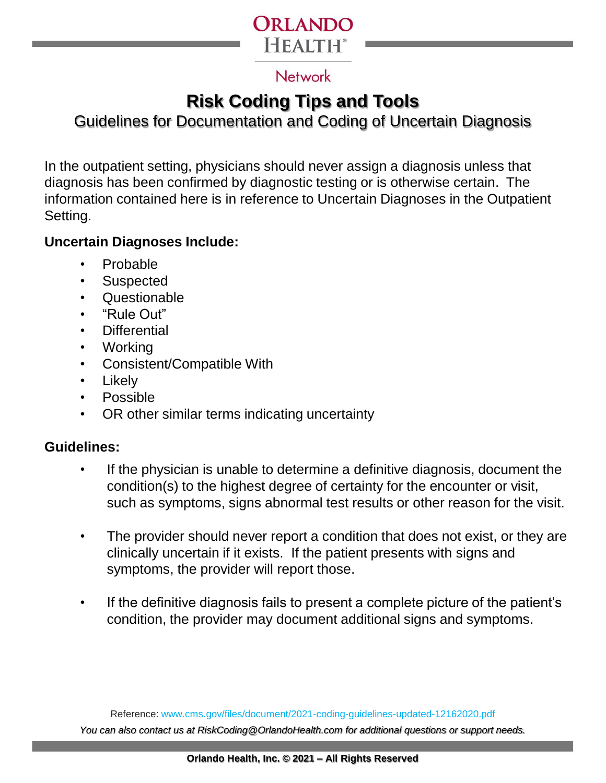

### **Network**

# **Risk Coding Tips and Tools**

## Guidelines for Documentation and Coding of Uncertain Diagnosis

In the outpatient setting, physicians should never assign a diagnosis unless that diagnosis has been confirmed by diagnostic testing or is otherwise certain. The information contained here is in reference to Uncertain Diagnoses in the Outpatient Setting.

#### **Uncertain Diagnoses Include:**

- Probable
- Suspected
- Questionable
- "Rule Out"
- Differential
- Working
- Consistent/Compatible With
- Likely
- Possible
- OR other similar terms indicating uncertainty

### **Guidelines:**

- If the physician is unable to determine a definitive diagnosis, document the condition(s) to the highest degree of certainty for the encounter or visit, such as symptoms, signs abnormal test results or other reason for the visit.
- The provider should never report a condition that does not exist, or they are clinically uncertain if it exists. If the patient presents with signs and symptoms, the provider will report those.
- If the definitive diagnosis fails to present a complete picture of the patient's condition, the provider may document additional signs and symptoms.

Reference: www.cms.gov/files/document/2021-coding-guidelines-updated-12162020.pdf *You can also contact us at RiskCoding@OrlandoHealth.com for additional questions or support needs.*